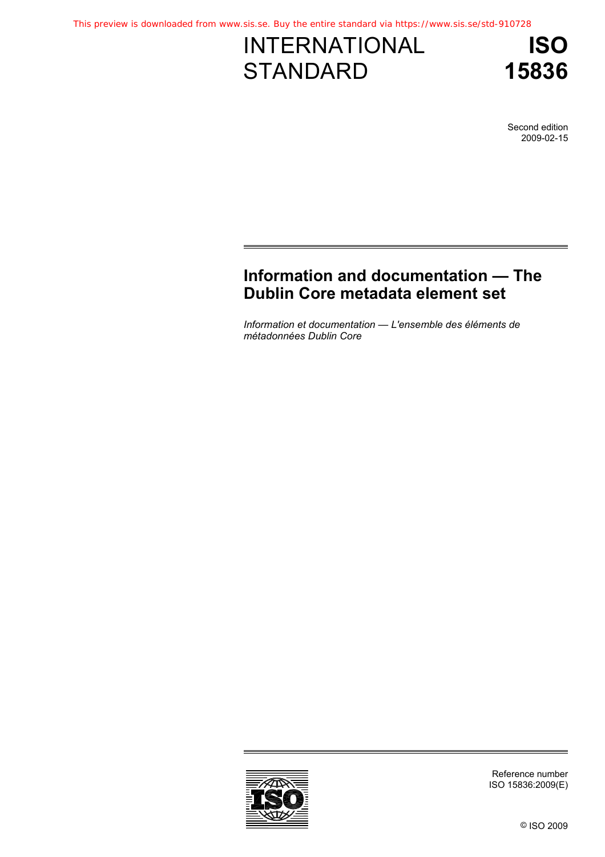# INTERNATIONAL **STANDARD**

**ISO 15836**

Second edition 2009-02-15

## **[Information and documentation — The](#page--1-0)  Dublin Core metadata element set**

*[Information et documentation — L'ensemble des éléments de](#page--1-0)  métadonnées Dublin Core* 



Reference number ISO 15836:2009(E)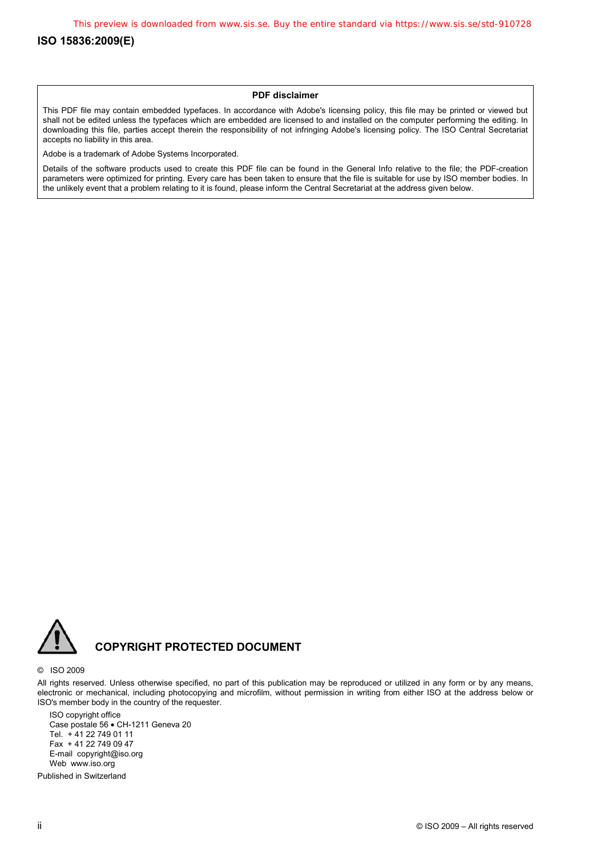#### **ISO 15836:2009(E)**

#### **PDF disclaimer**

This PDF file may contain embedded typefaces. In accordance with Adobe's licensing policy, this file may be printed or viewed but shall not be edited unless the typefaces which are embedded are licensed to and installed on the computer performing the editing. In downloading this file, parties accept therein the responsibility of not infringing Adobe's licensing policy. The ISO Central Secretariat accepts no liability in this area.

Adobe is a trademark of Adobe Systems Incorporated.

Details of the software products used to create this PDF file can be found in the General Info relative to the file; the PDF-creation parameters were optimized for printing. Every care has been taken to ensure that the file is suitable for use by ISO member bodies. In the unlikely event that a problem relating to it is found, please inform the Central Secretariat at the address given below.



### **COPYRIGHT PROTECTED DOCUMENT**

#### © ISO 2009

All rights reserved. Unless otherwise specified, no part of this publication may be reproduced or utilized in any form or by any means, electronic or mechanical, including photocopying and microfilm, without permission in writing from either ISO at the address below or ISO's member body in the country of the requester.

ISO copyright office Case postale 56 • CH-1211 Geneva 20 Tel. + 41 22 749 01 11 Fax + 41 22 749 09 47 E-mail copyright@iso.org Web www.iso.org

Published in Switzerland